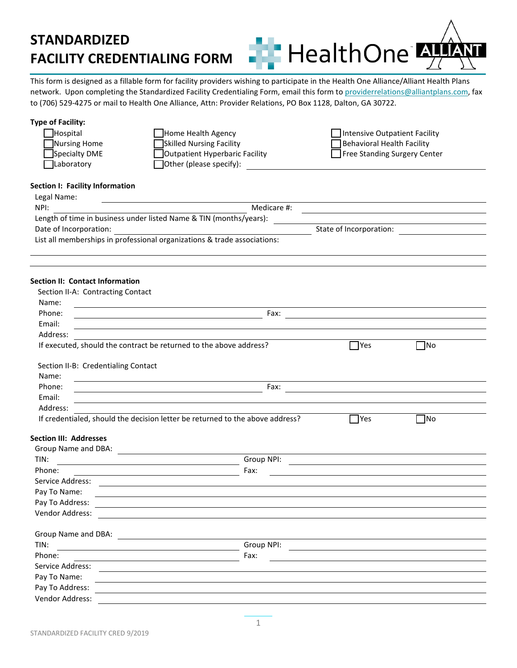**HealthOne** 

This form is designed as a fillable form for facility providers wishing to participate in the Health One Alliance/Alliant Health Plans network. Upon completing the Standardized Facility Credentialing Form, email this form t[o providerrelations@alliantplans.com,](mailto:providerrelations@alliantplans.com) fax to (706) 529-4275 or mail to Health One Alliance, Attn: Provider Relations, PO Box 1128, Dalton, GA 30722.

### **Type of Facility:**

| <b>Hospital</b> | Home Health Agency                    | Intensive Outpatient Facility       |
|-----------------|---------------------------------------|-------------------------------------|
| Nursing Home    | Skilled Nursing Facility              | Behavioral Health Facility          |
| Specialty DME   | <b>Outpatient Hyperbaric Facility</b> | <b>Free Standing Surgery Center</b> |
| Laboratory      | $\Box$ Other (please specify):        |                                     |

### **Section I: Facility Information**

| Legal Name:                                                              |                         |
|--------------------------------------------------------------------------|-------------------------|
| NPI:                                                                     | Medicare #:             |
| Length of time in business under listed Name & TIN (months/years):       |                         |
| Date of Incorporation:                                                   | State of Incorporation: |
| List all memberships in professional organizations & trade associations: |                         |

### **Section II: Contact Information**

| Section II-A: Contracting Contact                                                                                           |                                                                                                                         |            |           |  |
|-----------------------------------------------------------------------------------------------------------------------------|-------------------------------------------------------------------------------------------------------------------------|------------|-----------|--|
| Name:<br><u> 1980 - Jan Samuel Barbara, martin da shekarar 1980 - An tsaranin da shekarar 1980 - An tsaranin da shekara</u> |                                                                                                                         |            |           |  |
| Phone:                                                                                                                      | Fax:                                                                                                                    |            |           |  |
| Email:                                                                                                                      |                                                                                                                         |            |           |  |
| Address:                                                                                                                    |                                                                                                                         |            |           |  |
| If executed, should the contract be returned to the above address?                                                          |                                                                                                                         | $\Box$ Yes | ∏No       |  |
| Section II-B: Credentialing Contact                                                                                         |                                                                                                                         |            |           |  |
| Name:                                                                                                                       |                                                                                                                         |            |           |  |
| Phone:                                                                                                                      | Fax:                                                                                                                    |            |           |  |
| Email:                                                                                                                      |                                                                                                                         |            |           |  |
| Address:                                                                                                                    |                                                                                                                         |            |           |  |
| If credentialed, should the decision letter be returned to the above address?                                               |                                                                                                                         | $\Box$ Yes | $\Box$ No |  |
| <b>Section III: Addresses</b>                                                                                               |                                                                                                                         |            |           |  |
| Group Name and DBA:<br><u> 1989 - Johann Barn, fransk politik fotograf (d. 1989)</u>                                        |                                                                                                                         |            |           |  |
| TIN:                                                                                                                        | Group NPI:                                                                                                              |            |           |  |
| Phone:<br><u> 1989 - Johann Barnett, fransk politiker (d. 1989)</u>                                                         | Fax:                                                                                                                    |            |           |  |
| Service Address:                                                                                                            |                                                                                                                         |            |           |  |
| Pay To Name:                                                                                                                |                                                                                                                         |            |           |  |
| Pay To Address:                                                                                                             |                                                                                                                         |            |           |  |
| Vendor Address:                                                                                                             |                                                                                                                         |            |           |  |
| Group Name and DBA:                                                                                                         | <u> 1989 - Johann Stoff, deutscher Stoffen und der Stoffen und der Stoffen und der Stoffen und der Stoffen und der </u> |            |           |  |
| TIN:                                                                                                                        | Group NPI:                                                                                                              |            |           |  |
| Phone:                                                                                                                      | Fax:                                                                                                                    |            |           |  |
| Service Address:<br><u> 1980 - Andrea Andrew Maria (h. 1980).</u>                                                           |                                                                                                                         |            |           |  |
| Pay To Name:                                                                                                                |                                                                                                                         |            |           |  |
| Pay To Address:                                                                                                             |                                                                                                                         |            |           |  |
| Vendor Address:                                                                                                             |                                                                                                                         |            |           |  |
|                                                                                                                             |                                                                                                                         |            |           |  |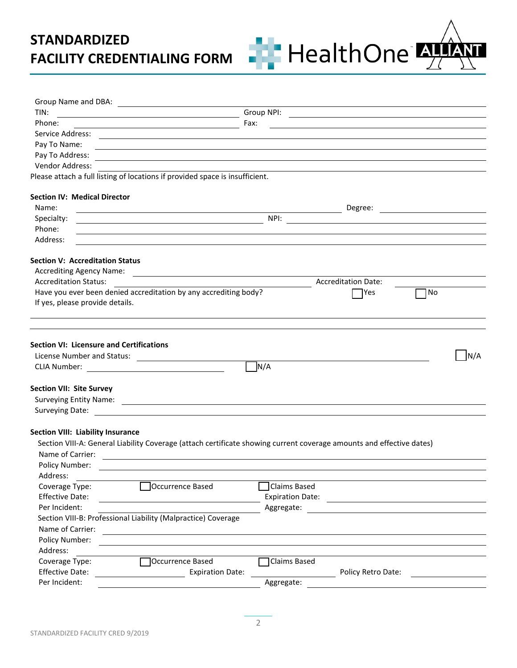

| Group Name and DBA:                             | <u> 1980 - Jan Samuel Barbara, politik eta politik eta politik eta politik eta politik eta politik eta politik e</u>   |                         |                                                                                                                      |     |
|-------------------------------------------------|------------------------------------------------------------------------------------------------------------------------|-------------------------|----------------------------------------------------------------------------------------------------------------------|-----|
| TIN:                                            | <u> 1980 - Johann Barn, mars ar breithinn ar chomhair an t-Alban ann an t-Alban ann an t-Alban ann an t-Alban an</u>   | Group NPI:              | <u> 2000 - Jan James Alexandri, prima de la contrada de la contrada de la contrada de la contrada de la contrada</u> |     |
| Phone:                                          | <u> 1989 - Johann Stoff, deutscher Stoffen und der Stoffen und der Stoffen und der Stoffen und der Stoffen und der</u> | Fax:                    |                                                                                                                      |     |
| Service Address:                                |                                                                                                                        |                         |                                                                                                                      |     |
| Pay To Name:                                    | ,我们也不会有什么。""我们的人,我们也不会有什么?""我们的人,我们也不会有什么?""我们的人,我们也不会有什么?""我们的人,我们也不会有什么?""我们的人                                       |                         |                                                                                                                      |     |
| Pay To Address:                                 | <u> 1980 - Andrea Santa Andrea Andrea Andrea Andrea Andrea Andrea Andrea Andrea Andrea Andrea Andrea Andrea Andr</u>   |                         |                                                                                                                      |     |
| Vendor Address:                                 |                                                                                                                        |                         |                                                                                                                      |     |
|                                                 | Please attach a full listing of locations if provided space is insufficient.                                           |                         |                                                                                                                      |     |
| <b>Section IV: Medical Director</b>             |                                                                                                                        |                         |                                                                                                                      |     |
| Name:                                           |                                                                                                                        |                         | Degree:                                                                                                              |     |
| Specialty:                                      |                                                                                                                        | NPI:                    |                                                                                                                      |     |
| Phone:                                          |                                                                                                                        |                         |                                                                                                                      |     |
| Address:                                        |                                                                                                                        |                         |                                                                                                                      |     |
| <b>Section V: Accreditation Status</b>          |                                                                                                                        |                         |                                                                                                                      |     |
| <b>Accrediting Agency Name:</b>                 | <u> 1989 - Andrea Barbara, poeta esperanto-poeta esperanto-poeta esperanto-poeta esperanto-poeta esperanto-poeta</u>   |                         |                                                                                                                      |     |
| <b>Accreditation Status:</b>                    |                                                                                                                        |                         | <b>Accreditation Date:</b>                                                                                           |     |
|                                                 | Have you ever been denied accreditation by any accrediting body?                                                       |                         | <b>Pres</b>                                                                                                          | 1No |
| If yes, please provide details.                 |                                                                                                                        |                         |                                                                                                                      |     |
|                                                 |                                                                                                                        |                         |                                                                                                                      |     |
|                                                 |                                                                                                                        |                         |                                                                                                                      |     |
| <b>Section VI: Licensure and Certifications</b> |                                                                                                                        |                         |                                                                                                                      |     |
|                                                 | License Number and Status:                                                                                             |                         |                                                                                                                      | N/A |
|                                                 |                                                                                                                        | N/A                     |                                                                                                                      |     |
|                                                 |                                                                                                                        |                         |                                                                                                                      |     |
| <b>Section VII: Site Survey</b>                 |                                                                                                                        |                         |                                                                                                                      |     |
|                                                 |                                                                                                                        |                         |                                                                                                                      |     |
|                                                 |                                                                                                                        |                         |                                                                                                                      |     |
|                                                 |                                                                                                                        |                         |                                                                                                                      |     |
| Section VIII: Liability Insurance               |                                                                                                                        |                         |                                                                                                                      |     |
|                                                 | Section VIII-A: General Liability Coverage (attach certificate showing current coverage amounts and effective dates)   |                         |                                                                                                                      |     |
| Name of Carrier:                                |                                                                                                                        |                         |                                                                                                                      |     |
| Policy Number:                                  |                                                                                                                        |                         |                                                                                                                      |     |
| Address:                                        |                                                                                                                        |                         |                                                                                                                      |     |
| Coverage Type:                                  | Occurrence Based                                                                                                       | Claims Based            |                                                                                                                      |     |
| <b>Effective Date:</b>                          |                                                                                                                        | <b>Expiration Date:</b> |                                                                                                                      |     |
| Per Incident:                                   |                                                                                                                        | Aggregate:              |                                                                                                                      |     |
|                                                 | Section VIII-B: Professional Liability (Malpractice) Coverage                                                          |                         |                                                                                                                      |     |
| Name of Carrier:                                | <u> 1989 - Jan Sterlinger, skriuwer fan it ferstjer fan it ferstjer fan it ferstjer fan it ferstjer fan it ferst</u>   |                         |                                                                                                                      |     |
| Policy Number:                                  |                                                                                                                        |                         |                                                                                                                      |     |
| Address:                                        |                                                                                                                        |                         |                                                                                                                      |     |
| Coverage Type:                                  | Occurrence Based                                                                                                       | Claims Based            |                                                                                                                      |     |
| <b>Effective Date:</b>                          | <b>Expiration Date:</b>                                                                                                |                         | Policy Retro Date:                                                                                                   |     |
| Per Incident:                                   |                                                                                                                        | Aggregate:              |                                                                                                                      |     |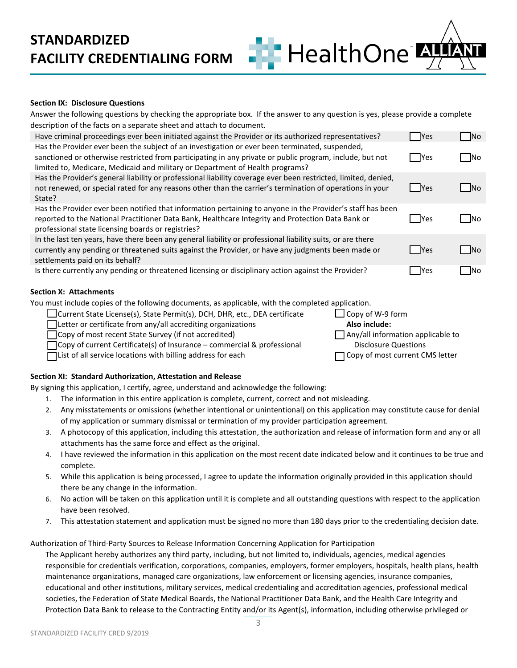### **Section IX: Disclosure Questions**

Answer the following questions by checking the appropriate box. If the answer to any question is yes, please provide a complete description of the facts on a separate sheet and attach to document.

HealthOne<sup>®</sup>

| Have criminal proceedings ever been initiated against the Provider or its authorized representatives?                                                                                                                                                                                       | <b>Yes</b>      | No.       |
|---------------------------------------------------------------------------------------------------------------------------------------------------------------------------------------------------------------------------------------------------------------------------------------------|-----------------|-----------|
| Has the Provider ever been the subject of an investigation or ever been terminated, suspended,<br>sanctioned or otherwise restricted from participating in any private or public program, include, but not<br>limited to, Medicare, Medicaid and military or Department of Health programs? | <b>Pres</b>     | No.       |
| Has the Provider's general liability or professional liability coverage ever been restricted, limited, denied,<br>not renewed, or special rated for any reasons other than the carrier's termination of operations in your<br>State?                                                        | <b>Yes</b>      | <b>No</b> |
| Has the Provider ever been notified that information pertaining to anyone in the Provider's staff has been<br>reported to the National Practitioner Data Bank, Healthcare Integrity and Protection Data Bank or<br>professional state licensing boards or registries?                       | <b>Paragona</b> | <b>No</b> |
| In the last ten years, have there been any general liability or professional liability suits, or are there<br>currently any pending or threatened suits against the Provider, or have any judgments been made or<br>settlements paid on its behalf?                                         | <b>Yes</b>      | <b>No</b> |
| Is there currently any pending or threatened licensing or disciplinary action against the Provider?                                                                                                                                                                                         | <b>IYes</b>     | lNo.      |

### **Section X: Attachments**

You must include copies of the following documents, as applicable, with the completed application.

| □ Current State License(s), State Permit(s), DCH, DHR, etc., DEA certificate   | $\Box$ Copy of W-9 form                  |
|--------------------------------------------------------------------------------|------------------------------------------|
| □ Letter or certificate from any/all accrediting organizations                 | Also include:                            |
| □ Copy of most recent State Survey (if not accredited)                         | $\Box$ Any/all information applicable to |
| $\Box$ Copy of current Certificate(s) of Insurance – commercial & professional | <b>Disclosure Questions</b>              |
| $\Box$ List of all service locations with billing address for each             | □ Copy of most current CMS letter        |

### **Section XI: Standard Authorization, Attestation and Release**

By signing this application, I certify, agree, understand and acknowledge the following:

- 1. The information in this entire application is complete, current, correct and not misleading.
- 2. Any misstatements or omissions (whether intentional or unintentional) on this application may constitute cause for denial of my application or summary dismissal or termination of my provider participation agreement.
- 3. A photocopy of this application, including this attestation, the authorization and release of information form and any or all attachments has the same force and effect as the original.
- 4. I have reviewed the information in this application on the most recent date indicated below and it continues to be true and complete.
- 5. While this application is being processed, I agree to update the information originally provided in this application should there be any change in the information.
- 6. No action will be taken on this application until it is complete and all outstanding questions with respect to the application have been resolved.
- 7. This attestation statement and application must be signed no more than 180 days prior to the credentialing decision date.

Authorization of Third-Party Sources to Release Information Concerning Application for Participation

The Applicant hereby authorizes any third party, including, but not limited to, individuals, agencies, medical agencies responsible for credentials verification, corporations, companies, employers, former employers, hospitals, health plans, health maintenance organizations, managed care organizations, law enforcement or licensing agencies, insurance companies, educational and other institutions, military services, medical credentialing and accreditation agencies, professional medical societies, the Federation of State Medical Boards, the National Practitioner Data Bank, and the Health Care Integrity and Protection Data Bank to release to the Contracting Entity and/or its Agent(s), information, including otherwise privileged or